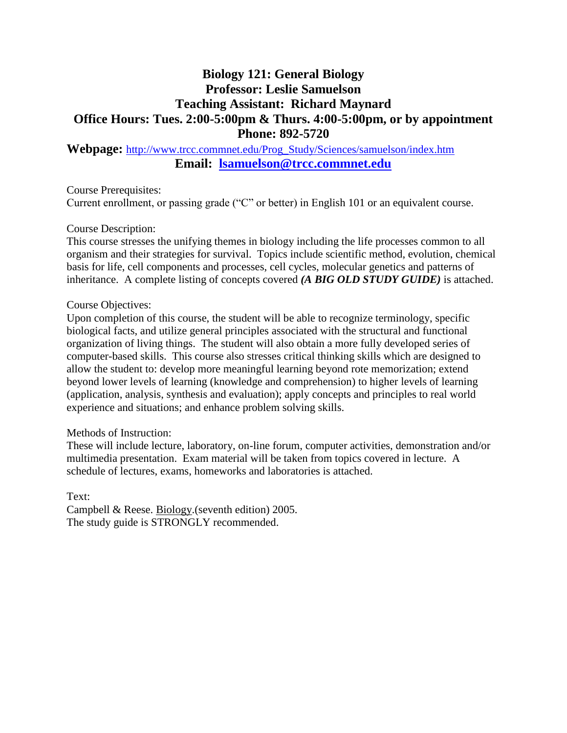# **Biology 121: General Biology Professor: Leslie Samuelson Teaching Assistant: Richard Maynard Office Hours: Tues. 2:00-5:00pm & Thurs. 4:00-5:00pm, or by appointment Phone: 892-5720**

# **Webpage:** [http://www.trcc.commnet.edu/Prog\\_Study/Sciences/samuelson/index.htm](http://www.trcc.commnet.edu/Prog_Study/Sciences/samuelson/index.htm) **Email: [lsamuelson@trcc.commnet.edu](mailto:lsamuelson@trcc.commnet.edu)**

Course Prerequisites:

Current enrollment, or passing grade ("C" or better) in English 101 or an equivalent course.

### Course Description:

This course stresses the unifying themes in biology including the life processes common to all organism and their strategies for survival. Topics include scientific method, evolution, chemical basis for life, cell components and processes, cell cycles, molecular genetics and patterns of inheritance. A complete listing of concepts covered *(A BIG OLD STUDY GUIDE)* is attached.

### Course Objectives:

Upon completion of this course, the student will be able to recognize terminology, specific biological facts, and utilize general principles associated with the structural and functional organization of living things. The student will also obtain a more fully developed series of computer-based skills. This course also stresses critical thinking skills which are designed to allow the student to: develop more meaningful learning beyond rote memorization; extend beyond lower levels of learning (knowledge and comprehension) to higher levels of learning (application, analysis, synthesis and evaluation); apply concepts and principles to real world experience and situations; and enhance problem solving skills.

### Methods of Instruction:

These will include lecture, laboratory, on-line forum, computer activities, demonstration and/or multimedia presentation. Exam material will be taken from topics covered in lecture. A schedule of lectures, exams, homeworks and laboratories is attached.

Text: Campbell & Reese. Biology.(seventh edition) 2005. The study guide is STRONGLY recommended.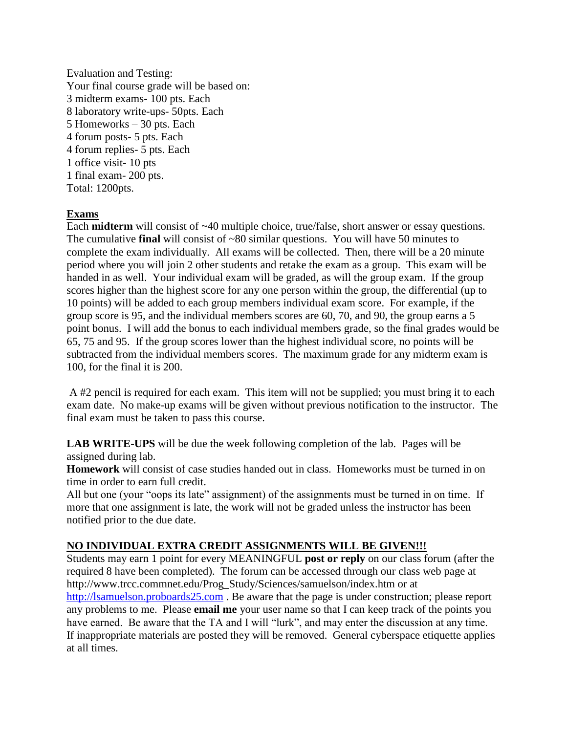Evaluation and Testing: Your final course grade will be based on: 3 midterm exams- 100 pts. Each 8 laboratory write-ups- 50pts. Each 5 Homeworks – 30 pts. Each 4 forum posts- 5 pts. Each 4 forum replies- 5 pts. Each 1 office visit- 10 pts 1 final exam- 200 pts. Total: 1200pts.

## **Exams**

Each **midterm** will consist of ~40 multiple choice, true/false, short answer or essay questions. The cumulative **final** will consist of ~80 similar questions. You will have 50 minutes to complete the exam individually. All exams will be collected. Then, there will be a 20 minute period where you will join 2 other students and retake the exam as a group. This exam will be handed in as well. Your individual exam will be graded, as will the group exam. If the group scores higher than the highest score for any one person within the group, the differential (up to 10 points) will be added to each group members individual exam score. For example, if the group score is 95, and the individual members scores are 60, 70, and 90, the group earns a 5 point bonus. I will add the bonus to each individual members grade, so the final grades would be 65, 75 and 95. If the group scores lower than the highest individual score, no points will be subtracted from the individual members scores. The maximum grade for any midterm exam is 100, for the final it is 200.

A #2 pencil is required for each exam. This item will not be supplied; you must bring it to each exam date. No make-up exams will be given without previous notification to the instructor. The final exam must be taken to pass this course.

**LAB WRITE-UPS** will be due the week following completion of the lab. Pages will be assigned during lab.

**Homework** will consist of case studies handed out in class. Homeworks must be turned in on time in order to earn full credit.

All but one (your "oops its late" assignment) of the assignments must be turned in on time. If more that one assignment is late, the work will not be graded unless the instructor has been notified prior to the due date.

### **NO INDIVIDUAL EXTRA CREDIT ASSIGNMENTS WILL BE GIVEN!!!**

Students may earn 1 point for every MEANINGFUL **post or reply** on our class forum (after the required 8 have been completed). The forum can be accessed through our class web page at http://www.trcc.commnet.edu/Prog\_Study/Sciences/samuelson/index.htm or at [http://lsamuelson.proboards25.com](http://lsamuelson.proboards25.com/). Be aware that the page is under construction; please report any problems to me. Please **email me** your user name so that I can keep track of the points you have earned. Be aware that the TA and I will "lurk", and may enter the discussion at any time. If inappropriate materials are posted they will be removed. General cyberspace etiquette applies at all times.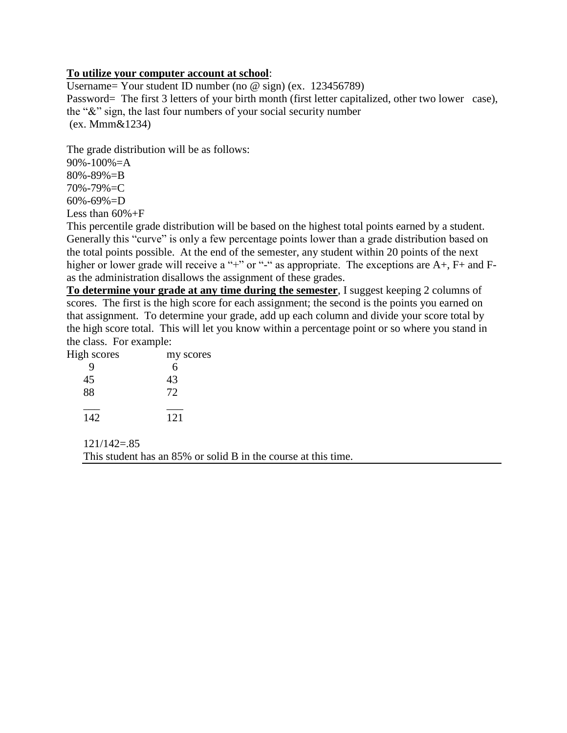### **To utilize your computer account at school**:

Username= Your student ID number (no @ sign) (ex. 123456789) Password= The first 3 letters of your birth month (first letter capitalized, other two lower case), the "&" sign, the last four numbers of your social security number (ex. Mmm&1234)

The grade distribution will be as follows:

90%-100%=A 80%-89%=B 70%-79%=C

60%-69%=D

Less than 60%+F

This percentile grade distribution will be based on the highest total points earned by a student. Generally this "curve" is only a few percentage points lower than a grade distribution based on the total points possible. At the end of the semester, any student within 20 points of the next higher or lower grade will receive a "+" or "-" as appropriate. The exceptions are A+, F+ and Fas the administration disallows the assignment of these grades.

**To determine your grade at any time during the semester**, I suggest keeping 2 columns of scores. The first is the high score for each assignment; the second is the points you earned on that assignment. To determine your grade, add up each column and divide your score total by the high score total. This will let you know within a percentage point or so where you stand in the class. For example:

| my scores |
|-----------|
| 6         |
| 43        |
| 72        |
|           |
| 121       |
|           |

 $121/142 = 85$ 

This student has an 85% or solid B in the course at this time.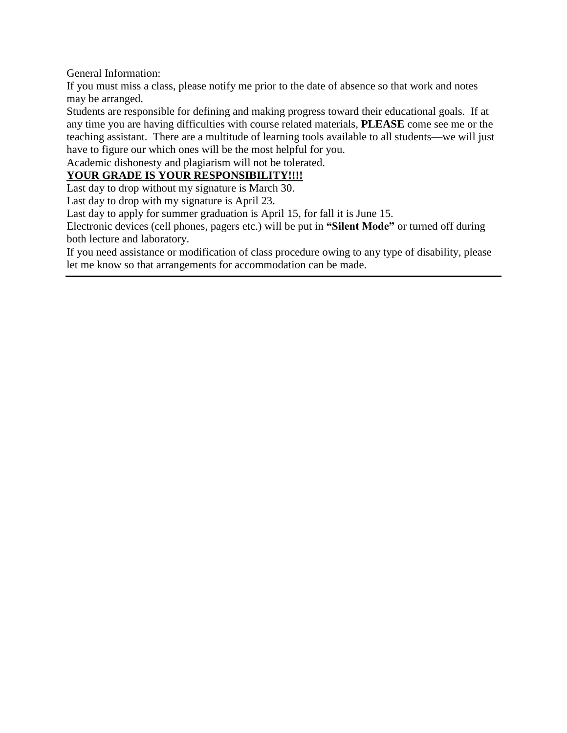General Information:

If you must miss a class, please notify me prior to the date of absence so that work and notes may be arranged.

Students are responsible for defining and making progress toward their educational goals. If at any time you are having difficulties with course related materials, **PLEASE** come see me or the teaching assistant. There are a multitude of learning tools available to all students—we will just have to figure our which ones will be the most helpful for you.

Academic dishonesty and plagiarism will not be tolerated.

# **YOUR GRADE IS YOUR RESPONSIBILITY!!!!**

Last day to drop without my signature is March 30.

Last day to drop with my signature is April 23.

Last day to apply for summer graduation is April 15, for fall it is June 15.

Electronic devices (cell phones, pagers etc.) will be put in **"Silent Mode"** or turned off during both lecture and laboratory.

If you need assistance or modification of class procedure owing to any type of disability, please let me know so that arrangements for accommodation can be made.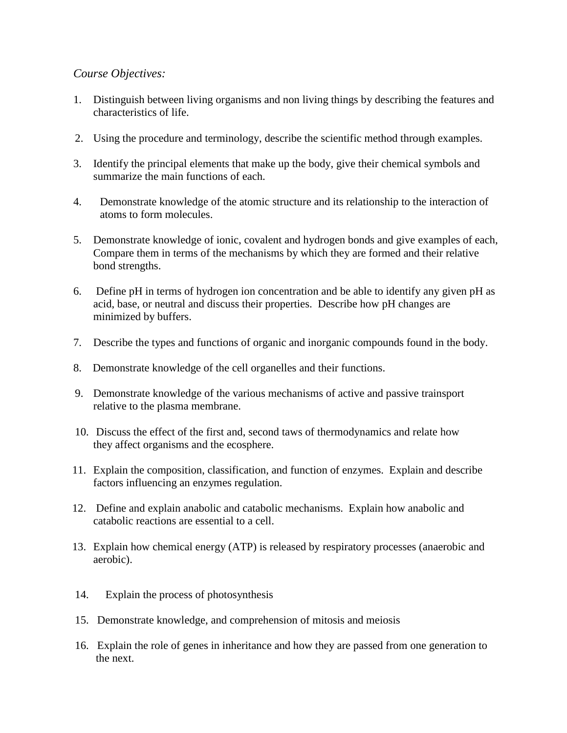## *Course Objectives:*

- 1. Distinguish between living organisms and non living things by describing the features and characteristics of life.
- 2. Using the procedure and terminology, describe the scientific method through examples.
- 3. Identify the principal elements that make up the body, give their chemical symbols and summarize the main functions of each.
- 4. Demonstrate knowledge of the atomic structure and its relationship to the interaction of atoms to form molecules.
- 5. Demonstrate knowledge of ionic, covalent and hydrogen bonds and give examples of each, Compare them in terms of the mechanisms by which they are formed and their relative bond strengths.
- 6. Define pH in terms of hydrogen ion concentration and be able to identify any given pH as acid, base, or neutral and discuss their properties. Describe how pH changes are minimized by buffers.
- 7. Describe the types and functions of organic and inorganic compounds found in the body.
- 8. Demonstrate knowledge of the cell organelles and their functions.
- 9. Demonstrate knowledge of the various mechanisms of active and passive trainsport relative to the plasma membrane.
- 10. Discuss the effect of the first and, second taws of thermodynamics and relate how they affect organisms and the ecosphere.
- 11. Explain the composition, classification, and function of enzymes. Explain and describe factors influencing an enzymes regulation.
- 12. Define and explain anabolic and catabolic mechanisms. Explain how anabolic and catabolic reactions are essential to a cell.
- 13. Explain how chemical energy (ATP) is released by respiratory processes (anaerobic and aerobic).
- 14. Explain the process of photosynthesis
- 15. Demonstrate knowledge, and comprehension of mitosis and meiosis
- 16. Explain the role of genes in inheritance and how they are passed from one generation to the next.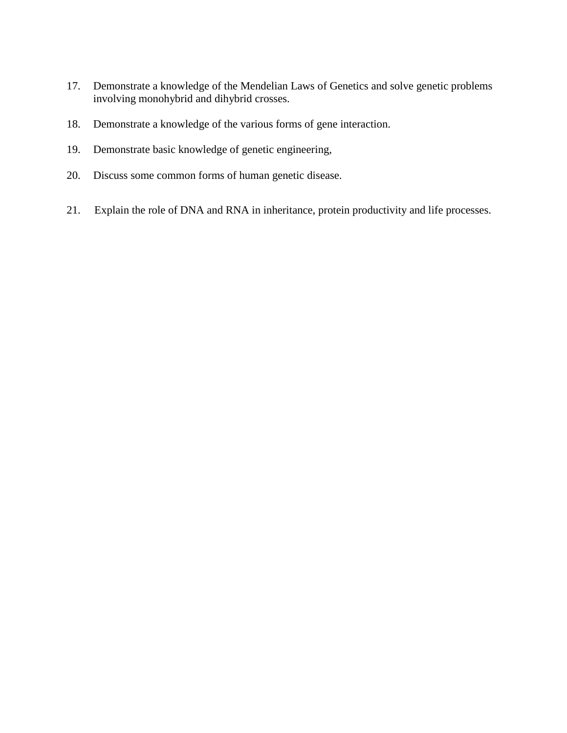- 17. Demonstrate a knowledge of the Mendelian Laws of Genetics and solve genetic problems involving monohybrid and dihybrid crosses.
- 18. Demonstrate a knowledge of the various forms of gene interaction.
- 19. Demonstrate basic knowledge of genetic engineering,
- 20. Discuss some common forms of human genetic disease.
- 21. Explain the role of DNA and RNA in inheritance, protein productivity and life processes.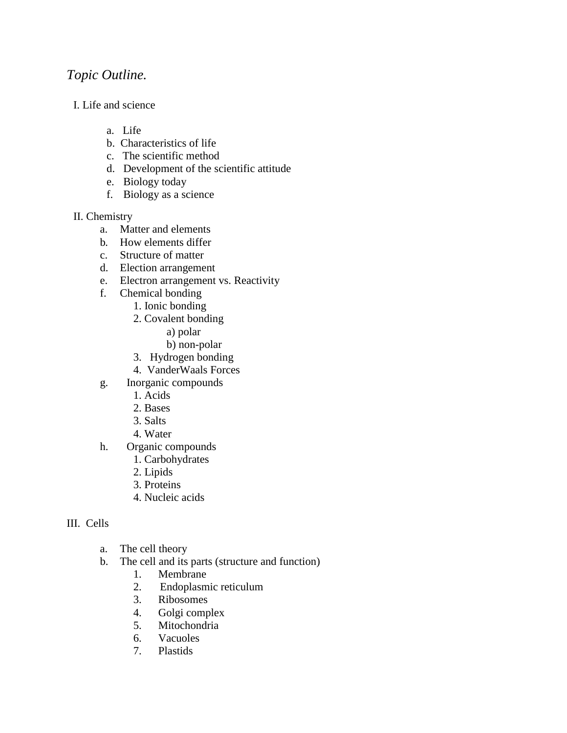# *Topic Outline.*

- I. Life and science
	- a. Life
	- b. Characteristics of life
	- c. The scientific method
	- d. Development of the scientific attitude
	- e. Biology today
	- f. Biology as a science

## II. Chemistry

- a. Matter and elements
- b*.* How elements differ
- c. Structure of matter
- d. Election arrangement
- e. Electron arrangement vs. Reactivity
- f. Chemical bonding
	- 1. Ionic bonding
	- 2. Covalent bonding
		- a) polar
		- b) non-polar
	- 3. Hydrogen bonding
	- 4. VanderWaals Forces
- g. Inorganic compounds
	- 1. Acids
	- 2. Bases
	- 3. Salts
	- 4. Water
- h. Organic compounds
	- 1. Carbohydrates
	- 2. Lipids
	- 3. Proteins
	- 4. Nucleic acids

## III. Cells

- a. The cell theory
- b. The cell and its parts (structure and function)
	- 1. Membrane
	- 2. Endoplasmic reticulum
	- 3. Ribosomes
	- 4. Golgi complex
	- 5. Mitochondria
	- 6. Vacuoles
	- 7. Plastids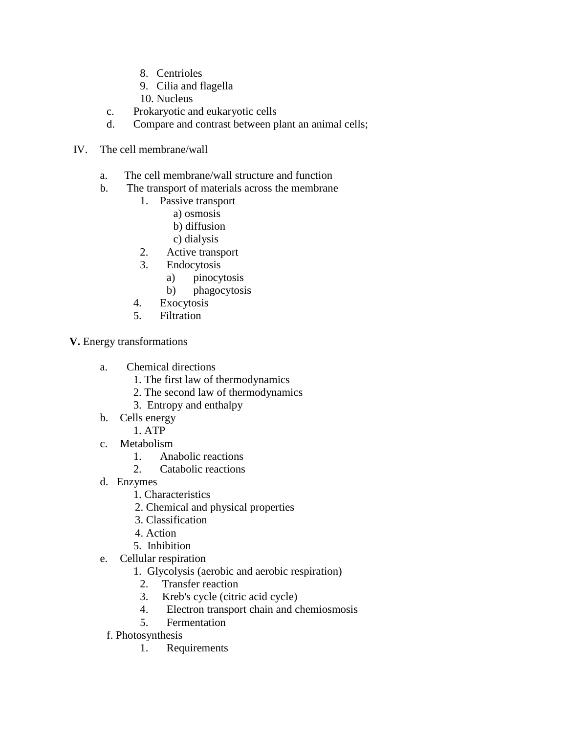- 8. Centrioles
- 9. Cilia and flagella
- 10. Nucleus
- c. Prokaryotic and eukaryotic cells
- d. Compare and contrast between plant an animal cells;
- IV. The cell membrane/wall
	- a. The cell membrane/wall structure and function
	- b. The transport of materials across the membrane
		- 1. Passive transport
			- a) osmosis
			- b) diffusion
			- c) dialysis
		- 2. Active transport
		- 3. Endocytosis
			- a) pinocytosis
			- b) phagocytosis
		- 4. Exocytosis
		- 5. Filtration

**V.** Energy transformations

- a. Chemical directions
	- 1. The first law of thermodynamics
	- 2. The second law of thermodynamics
	- 3. Entropy and enthalpy
- b. Cells energy
	- 1. ATP
- c. Metabolism
	- 1. Anabolic reactions
	- 2. Catabolic reactions
- d. Enzymes
	- 1. Characteristics
	- 2. Chemical and physical properties
	- 3. Classification
	- 4. Action
	- 5. Inhibition
- e. Cellular respiration
	- 1. Glycolysis (aerobic and aerobic respiration)
	- 2. Transfer reaction
	- 3. Kreb's cycle (citric acid cycle)
	- 4. Electron transport chain and chemiosmosis
	- 5. Fermentation
- f. Photosynthesis
	- 1. Requirements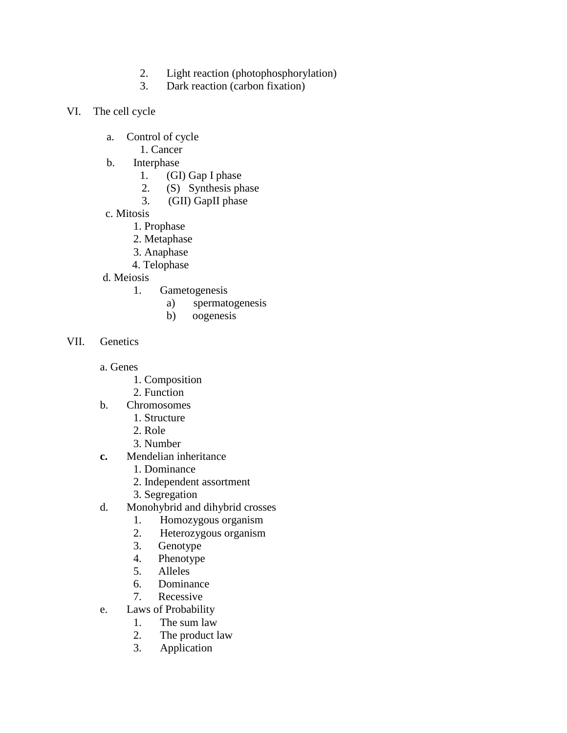- 2. Light reaction (photophosphorylation)
- 3. Dark reaction (carbon fixation)
- VI. The cell cycle
	- a. Control of cycle
		- 1. Cancer
	- b. Interphase
		- 1. (GI) Gap I phase
		- 2. (S) Synthesis phase
		- 3. (GII) GapII phase
	- c. Mitosis
		- 1. Prophase
		- 2. Metaphase
		- 3. Anaphase
		- 4. Telophase
	- d. Meiosis
		- 1. Gametogenesis
			- a) spermatogenesis
			- b)oogenesis
- VII. Genetics
	- a. Genes
		- 1. Composition
		- 2. Function
	- b. Chromosomes
		- 1. Structure
		- 2. Role
		- 3. Number
	- **c.** Mendelian inheritance
		- 1. Dominance
		- 2. Independent assortment
		- 3. Segregation
	- d. Monohybrid and dihybrid crosses
		- 1. Homozygous organism
		- 2. Heterozygous organism
		- 3. Genotype
		- 4. Phenotype<br>5. Alleles
		- 5. Alleles
		- 6. Dominance
		- 7. Recessive
	- e. Laws of Probability
		- 1. The sum law
		- 2. The product law
		- 3. Application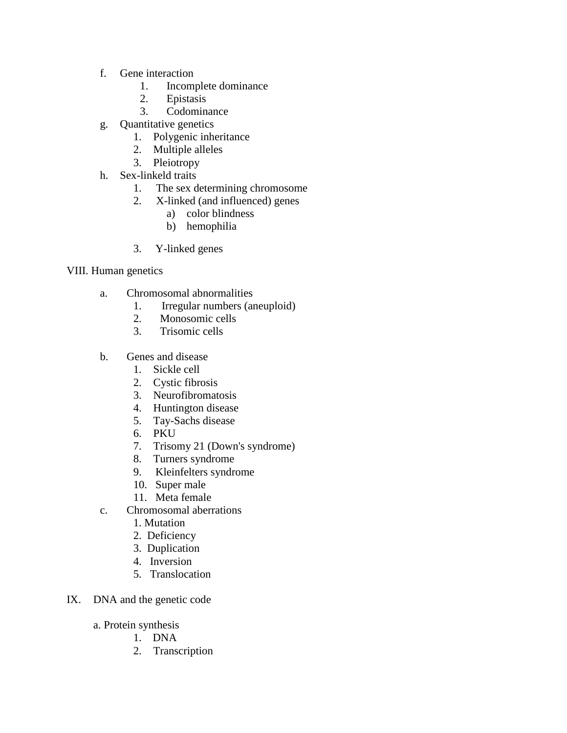- f. Gene interaction
	- 1. Incomplete dominance
	- 2. Epistasis
	- 3. Codominance
- g. Quantitative genetics
	- 1. Polygenic inheritance
	- 2. Multiple alleles
	- 3. Pleiotropy
- h. Sex-linkeld traits
	- 1. The sex determining chromosome
	- 2. X-linked (and influenced) genes
		- a) color blindness
		- b) hemophilia
	- 3. Y-linked genes

## VIII. Human genetics

- a. Chromosomal abnormalities
	- 1. Irregular numbers (aneuploid)
	- 2. Monosomic cells
	- 3. Trisomic cells
- b. Genes and disease
	- 1. Sickle cell
	- 2. Cystic fibrosis
	- 3. Neurofibromatosis
	- 4. Huntington disease
	- 5. Tay-Sachs disease
	- 6. PKU
	- 7. Trisomy 21 (Down's syndrome)
	- 8. Turners syndrome
	- 9. Kleinfelters syndrome
	- 10. Super male
	- 11. Meta female
- c. Chromosomal aberrations
	- 1. Mutation
	- 2. Deficiency
	- 3. Duplication
	- 4. Inversion
	- 5. Translocation
- IX. DNA and the genetic code
	- a. Protein synthesis
		- 1. DNA
		- 2. Transcription